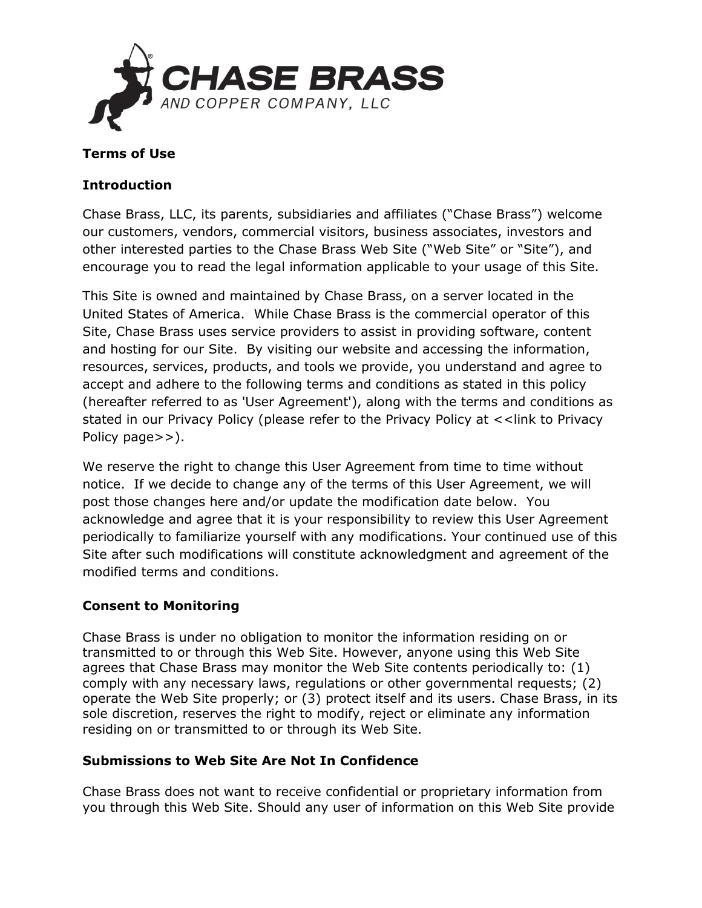

### **Terms of Use**

### **Introduction**

Chase Brass, LLC, its parents, subsidiaries and affiliates ("Chase Brass") welcome our customers, vendors, commercial visitors, business associates, investors and other interested parties to the Chase Brass Web Site ("Web Site" or "Site"), and encourage you to read the legal information applicable to your usage of this Site.

This Site is owned and maintained by Chase Brass, on a server located in the United States of America. While Chase Brass is the commercial operator of this Site, Chase Brass uses service providers to assist in providing software, content and hosting for our Site. By visiting our website and accessing the information, resources, services, products, and tools we provide, you understand and agree to accept and adhere to the following terms and conditions as stated in this policy (hereafter referred to as 'User Agreement'), along with the terms and conditions as stated in our Privacy Policy (please refer to the Privacy Policy at <<link to Privacy Policy page>>).

We reserve the right to change this User Agreement from time to time without notice. If we decide to change any of the terms of this User Agreement, we will post those changes here and/or update the modification date below. You acknowledge and agree that it is your responsibility to review this User Agreement periodically to familiarize yourself with any modifications. Your continued use of this Site after such modifications will constitute acknowledgment and agreement of the modified terms and conditions.

# **Consent to Monitoring**

Chase Brass is under no obligation to monitor the information residing on or transmitted to or through this Web Site. However, anyone using this Web Site agrees that Chase Brass may monitor the Web Site contents periodically to: (1) comply with any necessary laws, regulations or other governmental requests; (2) operate the Web Site properly; or (3) protect itself and its users. Chase Brass, in its sole discretion, reserves the right to modify, reject or eliminate any information residing on or transmitted to or through its Web Site.

#### **Submissions to Web Site Are Not In Confidence**

Chase Brass does not want to receive confidential or proprietary information from you through this Web Site. Should any user of information on this Web Site provide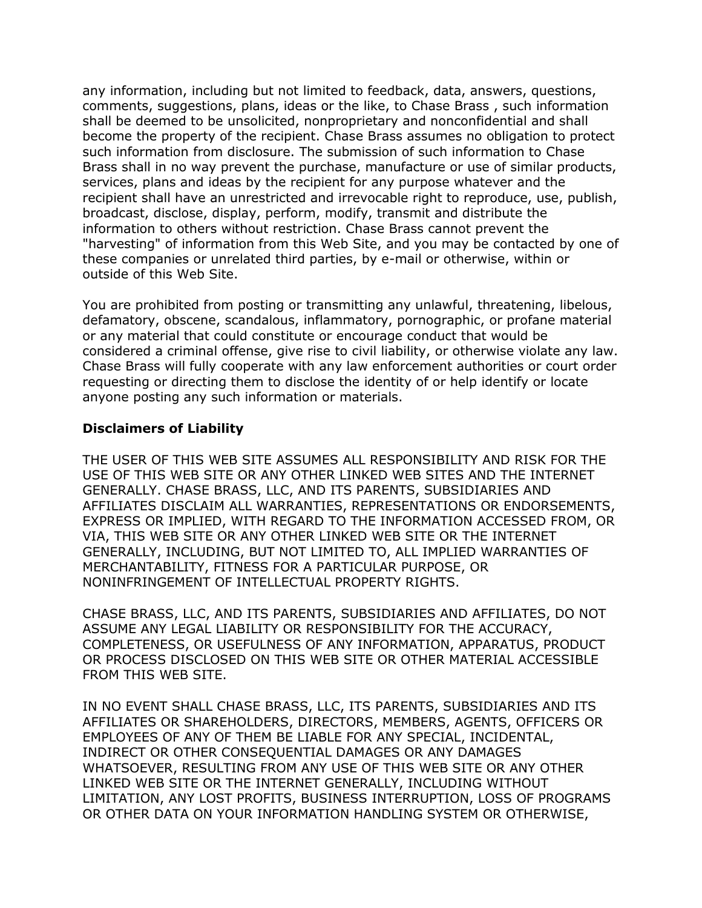any information, including but not limited to feedback, data, answers, questions, comments, suggestions, plans, ideas or the like, to Chase Brass , such information shall be deemed to be unsolicited, nonproprietary and nonconfidential and shall become the property of the recipient. Chase Brass assumes no obligation to protect such information from disclosure. The submission of such information to Chase Brass shall in no way prevent the purchase, manufacture or use of similar products, services, plans and ideas by the recipient for any purpose whatever and the recipient shall have an unrestricted and irrevocable right to reproduce, use, publish, broadcast, disclose, display, perform, modify, transmit and distribute the information to others without restriction. Chase Brass cannot prevent the "harvesting" of information from this Web Site, and you may be contacted by one of these companies or unrelated third parties, by e-mail or otherwise, within or outside of this Web Site.

You are prohibited from posting or transmitting any unlawful, threatening, libelous, defamatory, obscene, scandalous, inflammatory, pornographic, or profane material or any material that could constitute or encourage conduct that would be considered a criminal offense, give rise to civil liability, or otherwise violate any law. Chase Brass will fully cooperate with any law enforcement authorities or court order requesting or directing them to disclose the identity of or help identify or locate anyone posting any such information or materials.

#### **Disclaimers of Liability**

THE USER OF THIS WEB SITE ASSUMES ALL RESPONSIBILITY AND RISK FOR THE USE OF THIS WEB SITE OR ANY OTHER LINKED WEB SITES AND THE INTERNET GENERALLY. CHASE BRASS, LLC, AND ITS PARENTS, SUBSIDIARIES AND AFFILIATES DISCLAIM ALL WARRANTIES, REPRESENTATIONS OR ENDORSEMENTS, EXPRESS OR IMPLIED, WITH REGARD TO THE INFORMATION ACCESSED FROM, OR VIA, THIS WEB SITE OR ANY OTHER LINKED WEB SITE OR THE INTERNET GENERALLY, INCLUDING, BUT NOT LIMITED TO, ALL IMPLIED WARRANTIES OF MERCHANTABILITY, FITNESS FOR A PARTICULAR PURPOSE, OR NONINFRINGEMENT OF INTELLECTUAL PROPERTY RIGHTS.

CHASE BRASS, LLC, AND ITS PARENTS, SUBSIDIARIES AND AFFILIATES, DO NOT ASSUME ANY LEGAL LIABILITY OR RESPONSIBILITY FOR THE ACCURACY, COMPLETENESS, OR USEFULNESS OF ANY INFORMATION, APPARATUS, PRODUCT OR PROCESS DISCLOSED ON THIS WEB SITE OR OTHER MATERIAL ACCESSIBLE FROM THIS WEB SITE.

IN NO EVENT SHALL CHASE BRASS, LLC, ITS PARENTS, SUBSIDIARIES AND ITS AFFILIATES OR SHAREHOLDERS, DIRECTORS, MEMBERS, AGENTS, OFFICERS OR EMPLOYEES OF ANY OF THEM BE LIABLE FOR ANY SPECIAL, INCIDENTAL, INDIRECT OR OTHER CONSEQUENTIAL DAMAGES OR ANY DAMAGES WHATSOEVER, RESULTING FROM ANY USE OF THIS WEB SITE OR ANY OTHER LINKED WEB SITE OR THE INTERNET GENERALLY, INCLUDING WITHOUT LIMITATION, ANY LOST PROFITS, BUSINESS INTERRUPTION, LOSS OF PROGRAMS OR OTHER DATA ON YOUR INFORMATION HANDLING SYSTEM OR OTHERWISE,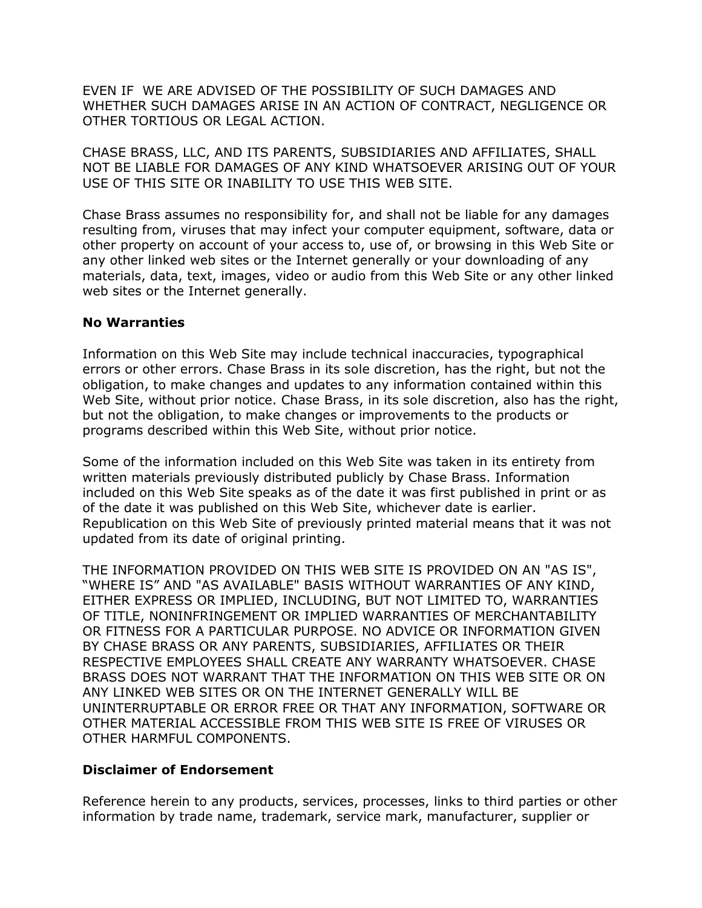EVEN IF WE ARE ADVISED OF THE POSSIBILITY OF SUCH DAMAGES AND WHETHER SUCH DAMAGES ARISE IN AN ACTION OF CONTRACT, NEGLIGENCE OR OTHER TORTIOUS OR LEGAL ACTION.

CHASE BRASS, LLC, AND ITS PARENTS, SUBSIDIARIES AND AFFILIATES, SHALL NOT BE LIABLE FOR DAMAGES OF ANY KIND WHATSOEVER ARISING OUT OF YOUR USE OF THIS SITE OR INABILITY TO USE THIS WEB SITE.

Chase Brass assumes no responsibility for, and shall not be liable for any damages resulting from, viruses that may infect your computer equipment, software, data or other property on account of your access to, use of, or browsing in this Web Site or any other linked web sites or the Internet generally or your downloading of any materials, data, text, images, video or audio from this Web Site or any other linked web sites or the Internet generally.

#### **No Warranties**

Information on this Web Site may include technical inaccuracies, typographical errors or other errors. Chase Brass in its sole discretion, has the right, but not the obligation, to make changes and updates to any information contained within this Web Site, without prior notice. Chase Brass, in its sole discretion, also has the right, but not the obligation, to make changes or improvements to the products or programs described within this Web Site, without prior notice.

Some of the information included on this Web Site was taken in its entirety from written materials previously distributed publicly by Chase Brass. Information included on this Web Site speaks as of the date it was first published in print or as of the date it was published on this Web Site, whichever date is earlier. Republication on this Web Site of previously printed material means that it was not updated from its date of original printing.

THE INFORMATION PROVIDED ON THIS WEB SITE IS PROVIDED ON AN "AS IS", "WHERE IS" AND "AS AVAILABLE" BASIS WITHOUT WARRANTIES OF ANY KIND, EITHER EXPRESS OR IMPLIED, INCLUDING, BUT NOT LIMITED TO, WARRANTIES OF TITLE, NONINFRINGEMENT OR IMPLIED WARRANTIES OF MERCHANTABILITY OR FITNESS FOR A PARTICULAR PURPOSE. NO ADVICE OR INFORMATION GIVEN BY CHASE BRASS OR ANY PARENTS, SUBSIDIARIES, AFFILIATES OR THEIR RESPECTIVE EMPLOYEES SHALL CREATE ANY WARRANTY WHATSOEVER. CHASE BRASS DOES NOT WARRANT THAT THE INFORMATION ON THIS WEB SITE OR ON ANY LINKED WEB SITES OR ON THE INTERNET GENERALLY WILL BE UNINTERRUPTABLE OR ERROR FREE OR THAT ANY INFORMATION, SOFTWARE OR OTHER MATERIAL ACCESSIBLE FROM THIS WEB SITE IS FREE OF VIRUSES OR OTHER HARMFUL COMPONENTS.

#### **Disclaimer of Endorsement**

Reference herein to any products, services, processes, links to third parties or other information by trade name, trademark, service mark, manufacturer, supplier or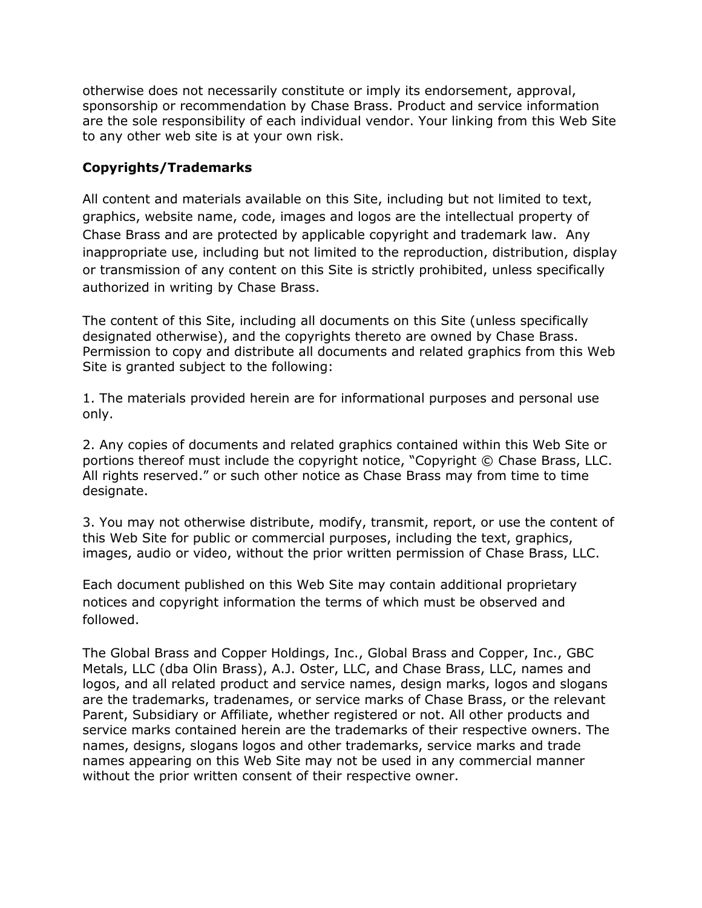otherwise does not necessarily constitute or imply its endorsement, approval, sponsorship or recommendation by Chase Brass. Product and service information are the sole responsibility of each individual vendor. Your linking from this Web Site to any other web site is at your own risk.

# **Copyrights/Trademarks**

All content and materials available on this Site, including but not limited to text, graphics, website name, code, images and logos are the intellectual property of Chase Brass and are protected by applicable copyright and trademark law. Any inappropriate use, including but not limited to the reproduction, distribution, display or transmission of any content on this Site is strictly prohibited, unless specifically authorized in writing by Chase Brass.

The content of this Site, including all documents on this Site (unless specifically designated otherwise), and the copyrights thereto are owned by Chase Brass. Permission to copy and distribute all documents and related graphics from this Web Site is granted subject to the following:

1. The materials provided herein are for informational purposes and personal use only.

2. Any copies of documents and related graphics contained within this Web Site or portions thereof must include the copyright notice, "Copyright © Chase Brass, LLC. All rights reserved." or such other notice as Chase Brass may from time to time designate.

3. You may not otherwise distribute, modify, transmit, report, or use the content of this Web Site for public or commercial purposes, including the text, graphics, images, audio or video, without the prior written permission of Chase Brass, LLC.

Each document published on this Web Site may contain additional proprietary notices and copyright information the terms of which must be observed and followed.

The Global Brass and Copper Holdings, Inc., Global Brass and Copper, Inc., GBC Metals, LLC (dba Olin Brass), A.J. Oster, LLC, and Chase Brass, LLC, names and logos, and all related product and service names, design marks, logos and slogans are the trademarks, tradenames, or service marks of Chase Brass, or the relevant Parent, Subsidiary or Affiliate, whether registered or not. All other products and service marks contained herein are the trademarks of their respective owners. The names, designs, slogans logos and other trademarks, service marks and trade names appearing on this Web Site may not be used in any commercial manner without the prior written consent of their respective owner.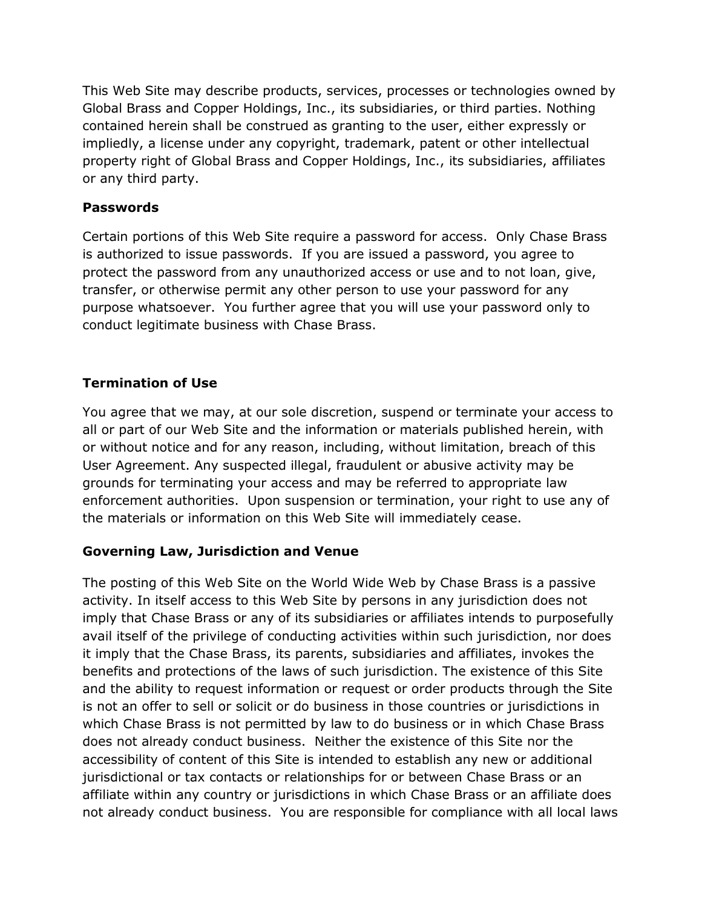This Web Site may describe products, services, processes or technologies owned by Global Brass and Copper Holdings, Inc., its subsidiaries, or third parties. Nothing contained herein shall be construed as granting to the user, either expressly or impliedly, a license under any copyright, trademark, patent or other intellectual property right of Global Brass and Copper Holdings, Inc., its subsidiaries, affiliates or any third party.

### **Passwords**

Certain portions of this Web Site require a password for access. Only Chase Brass is authorized to issue passwords. If you are issued a password, you agree to protect the password from any unauthorized access or use and to not loan, give, transfer, or otherwise permit any other person to use your password for any purpose whatsoever. You further agree that you will use your password only to conduct legitimate business with Chase Brass.

# **Termination of Use**

You agree that we may, at our sole discretion, suspend or terminate your access to all or part of our Web Site and the information or materials published herein, with or without notice and for any reason, including, without limitation, breach of this User Agreement. Any suspected illegal, fraudulent or abusive activity may be grounds for terminating your access and may be referred to appropriate law enforcement authorities. Upon suspension or termination, your right to use any of the materials or information on this Web Site will immediately cease.

# **Governing Law, Jurisdiction and Venue**

The posting of this Web Site on the World Wide Web by Chase Brass is a passive activity. In itself access to this Web Site by persons in any jurisdiction does not imply that Chase Brass or any of its subsidiaries or affiliates intends to purposefully avail itself of the privilege of conducting activities within such jurisdiction, nor does it imply that the Chase Brass, its parents, subsidiaries and affiliates, invokes the benefits and protections of the laws of such jurisdiction. The existence of this Site and the ability to request information or request or order products through the Site is not an offer to sell or solicit or do business in those countries or jurisdictions in which Chase Brass is not permitted by law to do business or in which Chase Brass does not already conduct business. Neither the existence of this Site nor the accessibility of content of this Site is intended to establish any new or additional jurisdictional or tax contacts or relationships for or between Chase Brass or an affiliate within any country or jurisdictions in which Chase Brass or an affiliate does not already conduct business. You are responsible for compliance with all local laws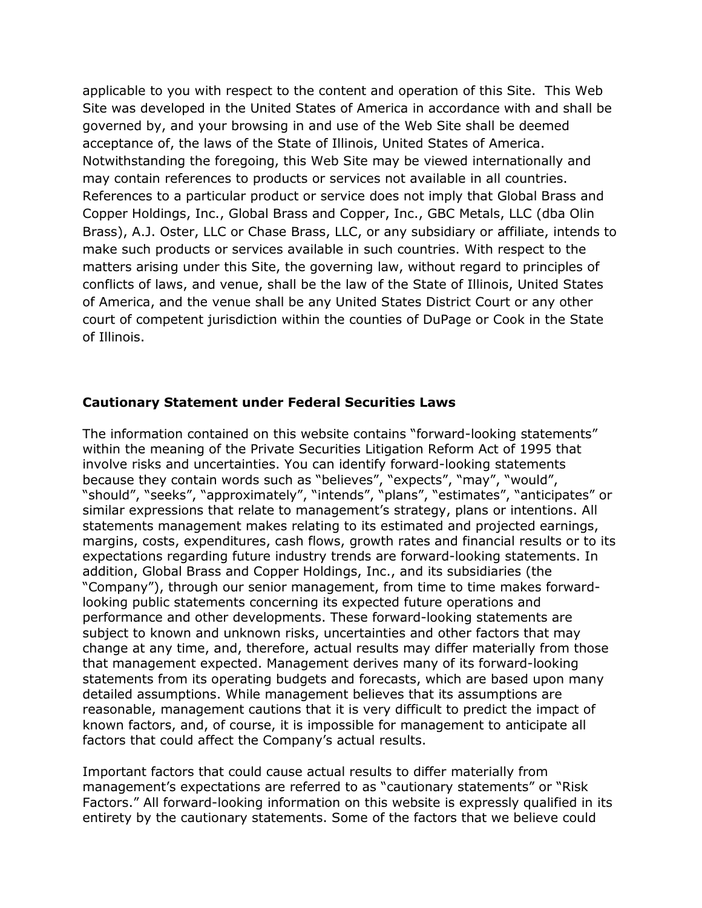applicable to you with respect to the content and operation of this Site. This Web Site was developed in the United States of America in accordance with and shall be governed by, and your browsing in and use of the Web Site shall be deemed acceptance of, the laws of the State of Illinois, United States of America. Notwithstanding the foregoing, this Web Site may be viewed internationally and may contain references to products or services not available in all countries. References to a particular product or service does not imply that Global Brass and Copper Holdings, Inc., Global Brass and Copper, Inc., GBC Metals, LLC (dba Olin Brass), A.J. Oster, LLC or Chase Brass, LLC, or any subsidiary or affiliate, intends to make such products or services available in such countries. With respect to the matters arising under this Site, the governing law, without regard to principles of conflicts of laws, and venue, shall be the law of the State of Illinois, United States of America, and the venue shall be any United States District Court or any other court of competent jurisdiction within the counties of DuPage or Cook in the State of Illinois.

#### **Cautionary Statement under Federal Securities Laws**

The information contained on this website contains "forward-looking statements" within the meaning of the Private Securities Litigation Reform Act of 1995 that involve risks and uncertainties. You can identify forward-looking statements because they contain words such as "believes", "expects", "may", "would", "should", "seeks", "approximately", "intends", "plans", "estimates", "anticipates" or similar expressions that relate to management's strategy, plans or intentions. All statements management makes relating to its estimated and projected earnings, margins, costs, expenditures, cash flows, growth rates and financial results or to its expectations regarding future industry trends are forward-looking statements. In addition, Global Brass and Copper Holdings, Inc., and its subsidiaries (the "Company"), through our senior management, from time to time makes forwardlooking public statements concerning its expected future operations and performance and other developments. These forward-looking statements are subject to known and unknown risks, uncertainties and other factors that may change at any time, and, therefore, actual results may differ materially from those that management expected. Management derives many of its forward-looking statements from its operating budgets and forecasts, which are based upon many detailed assumptions. While management believes that its assumptions are reasonable, management cautions that it is very difficult to predict the impact of known factors, and, of course, it is impossible for management to anticipate all factors that could affect the Company's actual results.

Important factors that could cause actual results to differ materially from management's expectations are referred to as "cautionary statements" or "Risk Factors." All forward-looking information on this website is expressly qualified in its entirety by the cautionary statements. Some of the factors that we believe could